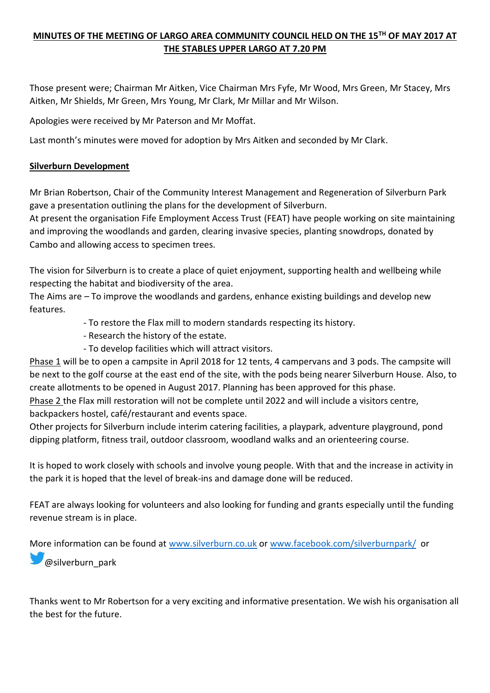# **MINUTES OF THE MEETING OF LARGO AREA COMMUNITY COUNCIL HELD ON THE 15TH OF MAY 2017 AT THE STABLES UPPER LARGO AT 7.20 PM**

Those present were; Chairman Mr Aitken, Vice Chairman Mrs Fyfe, Mr Wood, Mrs Green, Mr Stacey, Mrs Aitken, Mr Shields, Mr Green, Mrs Young, Mr Clark, Mr Millar and Mr Wilson.

Apologies were received by Mr Paterson and Mr Moffat.

Last month's minutes were moved for adoption by Mrs Aitken and seconded by Mr Clark.

## **Silverburn Development**

Mr Brian Robertson, Chair of the Community Interest Management and Regeneration of Silverburn Park gave a presentation outlining the plans for the development of Silverburn.

At present the organisation Fife Employment Access Trust (FEAT) have people working on site maintaining and improving the woodlands and garden, clearing invasive species, planting snowdrops, donated by Cambo and allowing access to specimen trees.

The vision for Silverburn is to create a place of quiet enjoyment, supporting health and wellbeing while respecting the habitat and biodiversity of the area.

The Aims are – To improve the woodlands and gardens, enhance existing buildings and develop new features.

- To restore the Flax mill to modern standards respecting its history.
- Research the history of the estate.
- To develop facilities which will attract visitors.

Phase 1 will be to open a campsite in April 2018 for 12 tents, 4 campervans and 3 pods. The campsite will be next to the golf course at the east end of the site, with the pods being nearer Silverburn House. Also, to create allotments to be opened in August 2017. Planning has been approved for this phase.

Phase 2 the Flax mill restoration will not be complete until 2022 and will include a visitors centre, backpackers hostel, café/restaurant and events space.

Other projects for Silverburn include interim catering facilities, a playpark, adventure playground, pond dipping platform, fitness trail, outdoor classroom, woodland walks and an orienteering course.

It is hoped to work closely with schools and involve young people. With that and the increase in activity in the park it is hoped that the level of break-ins and damage done will be reduced.

FEAT are always looking for volunteers and also looking for funding and grants especially until the funding revenue stream is in place.

More information can be found at [www.silverburn.co.uk](http://www.silverburn.co.uk/) or [www.facebook.com/silverburnpark/](http://www.facebook.com/silverburnpark/) or **[@](http://twitter.com/)silverburn\_park** 

Thanks went to Mr Robertson for a very exciting and informative presentation. We wish his organisation all the best for the future.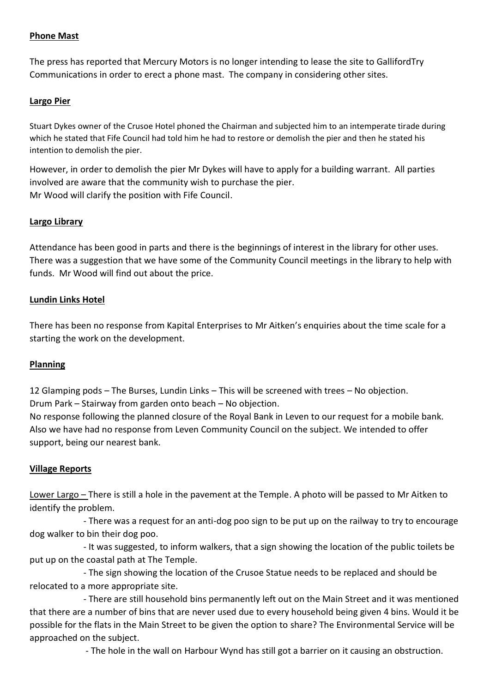## **Phone Mast**

The press has reported that Mercury Motors is no longer intending to lease the site to GallifordTry Communications in order to erect a phone mast. The company in considering other sites.

### **Largo Pier**

Stuart Dykes owner of the Crusoe Hotel phoned the Chairman and subjected him to an intemperate tirade during which he stated that Fife Council had told him he had to restore or demolish the pier and then he stated his intention to demolish the pier.

However, in order to demolish the pier Mr Dykes will have to apply for a building warrant. All parties involved are aware that the community wish to purchase the pier. Mr Wood will clarify the position with Fife Council.

## **Largo Library**

Attendance has been good in parts and there is the beginnings of interest in the library for other uses. There was a suggestion that we have some of the Community Council meetings in the library to help with funds. Mr Wood will find out about the price.

### **Lundin Links Hotel**

There has been no response from Kapital Enterprises to Mr Aitken's enquiries about the time scale for a starting the work on the development.

#### **Planning**

12 Glamping pods – The Burses, Lundin Links – This will be screened with trees – No objection. Drum Park – Stairway from garden onto beach – No objection.

No response following the planned closure of the Royal Bank in Leven to our request for a mobile bank. Also we have had no response from Leven Community Council on the subject. We intended to offer support, being our nearest bank.

#### **Village Reports**

Lower Largo – There is still a hole in the pavement at the Temple. A photo will be passed to Mr Aitken to identify the problem.

 - There was a request for an anti-dog poo sign to be put up on the railway to try to encourage dog walker to bin their dog poo.

 - It was suggested, to inform walkers, that a sign showing the location of the public toilets be put up on the coastal path at The Temple.

 - The sign showing the location of the Crusoe Statue needs to be replaced and should be relocated to a more appropriate site.

 - There are still household bins permanently left out on the Main Street and it was mentioned that there are a number of bins that are never used due to every household being given 4 bins. Would it be possible for the flats in the Main Street to be given the option to share? The Environmental Service will be approached on the subject.

- The hole in the wall on Harbour Wynd has still got a barrier on it causing an obstruction.